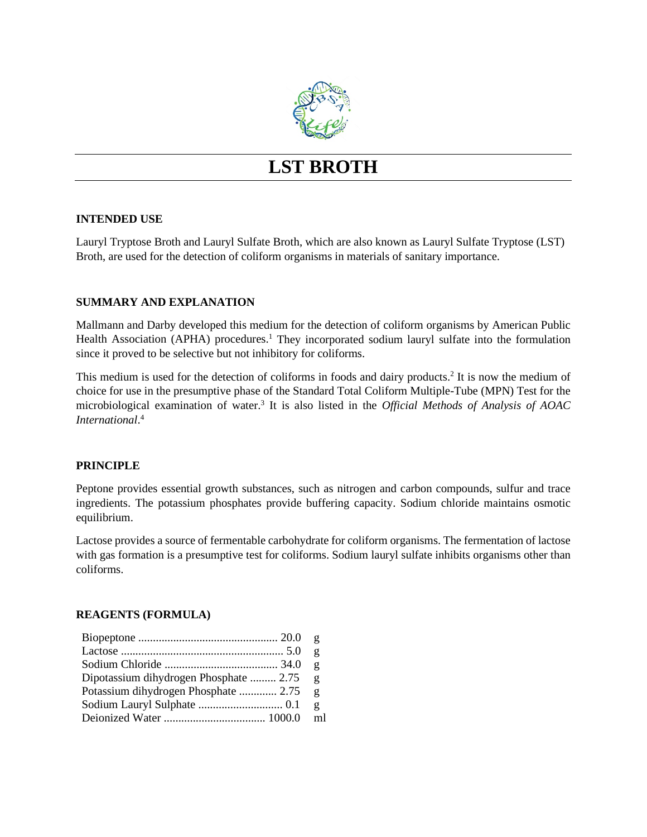

# **LST BROTH**

# **INTENDED USE**

Lauryl Tryptose Broth and Lauryl Sulfate Broth, which are also known as Lauryl Sulfate Tryptose (LST) Broth, are used for the detection of coliform organisms in materials of sanitary importance.

# **SUMMARY AND EXPLANATION**

Mallmann and Darby developed this medium for the detection of coliform organisms by American Public Health Association (APHA) procedures.<sup>1</sup> They incorporated sodium lauryl sulfate into the formulation since it proved to be selective but not inhibitory for coliforms.

This medium is used for the detection of coliforms in foods and dairy products.2 It is now the medium of choice for use in the presumptive phase of the Standard Total Coliform Multiple-Tube (MPN) Test for the microbiological examination of water.3 It is also listed in the *Official Methods of Analysis of AOAC International*. 4

# **PRINCIPLE**

Peptone provides essential growth substances, such as nitrogen and carbon compounds, sulfur and trace ingredients. The potassium phosphates provide buffering capacity. Sodium chloride maintains osmotic equilibrium.

Lactose provides a source of fermentable carbohydrate for coliform organisms. The fermentation of lactose with gas formation is a presumptive test for coliforms. Sodium lauryl sulfate inhibits organisms other than coliforms.

### **REAGENTS (FORMULA)**

|                                        | $\mathbf{g}$ |
|----------------------------------------|--------------|
|                                        | $\mathbf{g}$ |
|                                        | $\mathbf{g}$ |
| Dipotassium dihydrogen Phosphate  2.75 | $\mathbf{g}$ |
| Potassium dihydrogen Phosphate  2.75   | g            |
|                                        | g            |
|                                        | m1           |
|                                        |              |